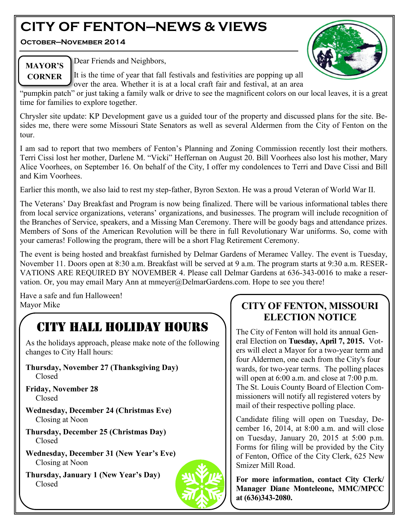# **CITY OF FENTON—NEWS & VIEWS**

**October—November 2014**



**MAYOR'S CORNER**

Dear Friends and Neighbors,

It is the time of year that fall festivals and festivities are popping up all over the area. Whether it is at a local craft fair and festival, at an area

"pumpkin patch" or just taking a family walk or drive to see the magnificent colors on our local leaves, it is a great time for families to explore together.

Chrysler site update: KP Development gave us a guided tour of the property and discussed plans for the site. Besides me, there were some Missouri State Senators as well as several Aldermen from the City of Fenton on the tour.

I am sad to report that two members of Fenton's Planning and Zoning Commission recently lost their mothers. Terri Cissi lost her mother, Darlene M. "Vicki" Heffernan on August 20. Bill Voorhees also lost his mother, Mary Alice Voorhees, on September 16. On behalf of the City, I offer my condolences to Terri and Dave Cissi and Bill and Kim Voorhees.

Earlier this month, we also laid to rest my step-father, Byron Sexton. He was a proud Veteran of World War II.

The Veterans' Day Breakfast and Program is now being finalized. There will be various informational tables there from local service organizations, veterans' organizations, and businesses. The program will include recognition of the Branches of Service, speakers, and a Missing Man Ceremony. There will be goody bags and attendance prizes. Members of Sons of the American Revolution will be there in full Revolutionary War uniforms. So, come with your cameras! Following the program, there will be a short Flag Retirement Ceremony.

The event is being hosted and breakfast furnished by Delmar Gardens of Meramec Valley. The event is Tuesday, November 11. Doors open at 8:30 a.m. Breakfast will be served at 9 a.m. The program starts at 9:30 a.m. RESER-VATIONS ARE REQUIRED BY NOVEMBER 4. Please call Delmar Gardens at 636-343-0016 to make a reservation. Or, you may email Mary Ann at mmeyer@DelmarGardens.com. Hope to see you there!

Have a safe and fun Halloween! Mayor Mike

# CITY HALL HOLIDAY HOURS

As the holidays approach, please make note of the following changes to City Hall hours:

- **Thursday, November 27 (Thanksgiving Day)** Closed
- **Friday, November 28** Closed
- **Wednesday, December 24 (Christmas Eve)** Closing at Noon
- **Thursday, December 25 (Christmas Day)** Closed
- **Wednesday, December 31 (New Year's Eve)** Closing at Noon
- **Thursday, January 1 (New Year's Day)** Closed



# **CITY OF FENTON, MISSOURI ELECTION NOTICE**

The City of Fenton will hold its annual General Election on **Tuesday, April 7, 2015.** Voters will elect a Mayor for a two-year term and four Aldermen, one each from the City's four wards, for two-year terms. The polling places will open at 6:00 a.m. and close at 7:00 p.m. The St. Louis County Board of Election Commissioners will notify all registered voters by mail of their respective polling place.

Candidate filing will open on Tuesday, December 16, 2014, at 8:00 a.m. and will close on Tuesday, January 20, 2015 at 5:00 p.m. Forms for filing will be provided by the City of Fenton, Office of the City Clerk, 625 New Smizer Mill Road.

**For more information, contact City Clerk/ Manager Diane Monteleone, MMC/MPCC at (636)343-2080.**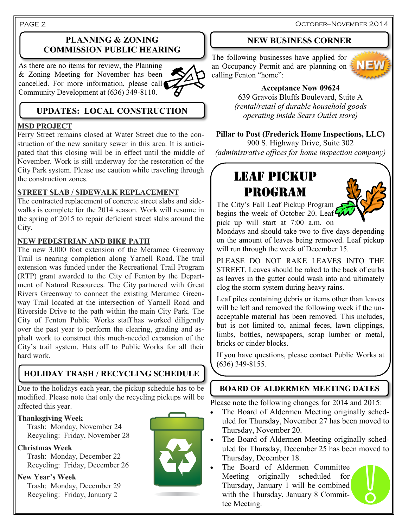October—November 2014

#### PAGE 2

# **PLANNING & ZONING COMMISSION PUBLIC HEARING**

As there are no items for review, the Planning & Zoning Meeting for November has been cancelled. For more information, please call Community Development at (636) 349-8110.



# **UPDATES: LOCAL CONSTRUCTION**

#### **MSD PROJECT**

Ferry Street remains closed at Water Street due to the construction of the new sanitary sewer in this area. It is anticipated that this closing will be in effect until the middle of November. Work is still underway for the restoration of the City Park system. Please use caution while traveling through the construction zones.

## **STREET SLAB / SIDEWALK REPLACEMENT**

The contracted replacement of concrete street slabs and sidewalks is complete for the 2014 season. Work will resume in the spring of 2015 to repair deficient street slabs around the City.

#### **NEW PEDESTRIAN AND BIKE PATH**

The new 3,000 foot extension of the Meramec Greenway Trail is nearing completion along Yarnell Road. The trail extension was funded under the Recreational Trail Program (RTP) grant awarded to the City of Fenton by the Department of Natural Resources. The City partnered with Great Rivers Greenway to connect the existing Meramec Greenway Trail located at the intersection of Yarnell Road and Riverside Drive to the path within the main City Park. The City of Fenton Public Works staff has worked diligently over the past year to perform the clearing, grading and asphalt work to construct this much-needed expansion of the City's trail system. Hats off to Public Works for all their hard work.

# **HOLIDAY TRASH / RECYCLING SCHEDULE**

Due to the holidays each year, the pickup schedule has to be **BOARD OF ALDERMEN MEETING DATES** modified. Please note that only the recycling pickups will be affected this year.

# **Thanksgiving Week**

 Trash: Monday, November 24 Recycling: Friday, November 28

**Christmas Week**

 Trash: Monday, December 22 Recycling: Friday, December 26

**New Year's Week**

 Trash: Monday, December 29 Recycling: Friday, January 2



### **NEW BUSINESS CORNER**

The following businesses have applied for an Occupancy Permit and are planning on  $\geq$ calling Fenton "home":



# **Acceptance Now 09624**

639 Gravois Bluffs Boulevard, Suite A *(rental/retail of durable household goods operating inside Sears Outlet store)*

## **Pillar to Post (Frederick Home Inspections, LLC)**

900 S. Highway Drive, Suite 302 *(administrative offices for home inspection company)*

# LEAF PICKUP PROGRAM



The City's Fall Leaf Pickup Program begins the week of October 20. Leaf pick up will start at 7:00 a.m. on

Mondays and should take two to five days depending on the amount of leaves being removed. Leaf pickup will run through the week of December 15.

PLEASE DO NOT RAKE LEAVES INTO THE STREET. Leaves should be raked to the back of curbs as leaves in the gutter could wash into and ultimately clog the storm system during heavy rains.

Leaf piles containing debris or items other than leaves will be left and removed the following week if the unacceptable material has been removed. This includes, but is not limited to, animal feces, lawn clippings, limbs, bottles, newspapers, scrap lumber or metal, bricks or cinder blocks.

If you have questions, please contact Public Works at (636) 349-8155.

Please note the following changes for 2014 and 2015:

- The Board of Aldermen Meeting originally scheduled for Thursday, November 27 has been moved to Thursday, November 20.
- The Board of Aldermen Meeting originally scheduled for Thursday, December 25 has been moved to Thursday, December 18.
- The Board of Aldermen Committee Meeting originally scheduled for Thursday, January 1 will be combined with the Thursday, January 8 Committee Meeting.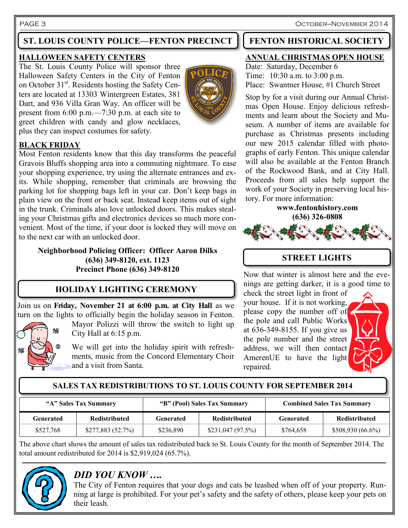PAGE 3 OCTOBER—NOVEMBER 2014

# **ST. LOUIS COUNTY POLICE—FENTON PRECINCT | FENTON HISTORICAL SOCIETY**

### **HALLOWEEN SAFETY CENTERS**

The St. Louis County Police will sponsor three Halloween Safety Centers in the City of Fenton on October 31<sup>st</sup>. Residents hosting the Safety Centers are located at 13303 Wintergreen Estates, 381 Dart, and 936 Villa Gran Way. An officer will be present from 6:00 p.m.—7:30 p.m. at each site to greet children with candy and glow necklaces, plus they can inspect costumes for safety.



# **BLACK FRIDAY**

Most Fenton residents know that this day transforms the peaceful Gravois Bluffs shopping area into a commuting nightmare. To ease your shopping experience, try using the alternate entrances and exits. While shopping, remember that criminals are browsing the parking lot for shopping bags left in your car. Don't keep bags in plain view on the front or back seat. Instead keep items out of sight in the trunk. Criminals also love unlocked doors. This makes stealing your Christmas gifts and electronics devices so much more convenient. Most of the time, if your door is locked they will move on to the next car with an unlocked door.

**Neighborhood Policing Officer: Officer Aaron Dilks (636) 349-8120, ext. 1123 Precinct Phone (636) 349-8120**

# **HOLIDAY LIGHTING CEREMONY**

Join us on **Friday, November 21 at 6:00 p.m. at City Hall** as we turn on the lights to officially begin the holiday season in Fenton.



City Hall at 6:15 p.m.

We will get into the holiday spirit with refreshments, music from the Concord Elementary Choir and a visit from Santa.

Mayor Polizzi will throw the switch to light up

## **ANNUAL CHRISTMAS OPEN HOUSE**

Date: Saturday, December 6 Time: 10:30 a.m. to 3:00 p.m. Place: Swantner House, #1 Church Street

Stop by for a visit during our Annual Christmas Open House. Enjoy delicious refreshments and learn about the Society and Museum. A number of items are available for purchase as Christmas presents including our new 2015 calendar filled with photographs of early Fenton. This unique calendar will also be available at the Fenton Branch of the Rockwood Bank, and at City Hall. Proceeds from all sales help support the work of your Society in preserving local history. For more information:

#### **www.fentonhistory.com (636) 326-0808**



# **STREET LIGHTS**

Now that winter is almost here and the evenings are getting darker, it is a good time to

check the street light in front of your house. If it is not working, please copy the number off of the pole and call Public Works at 636-349-8155. If you give us the pole number and the street address, we will then contact AmerenUE to have the light repaired.



#### **SALES TAX REDISTRIBUTIONS TO ST. LOUIS COUNTY FOR SEPTEMBER 2014**

| "A" Sales Tax Summary |                      | "B" (Pool) Sales Tax Summary |                      | <b>Combined Sales Tax Summary</b> |                      |
|-----------------------|----------------------|------------------------------|----------------------|-----------------------------------|----------------------|
| Generated             | <b>Redistributed</b> | Generated                    | <b>Redistributed</b> | Generated                         | <b>Redistributed</b> |
| \$527,768             | \$277,883(52.7%)     | \$236,890                    | \$231,047(97.5%)     | \$764,658                         | \$508,930(66.6%)     |

The above chart shows the amount of sales tax redistributed back to St. Louis County for the month of September 2014. The total amount redistributed for 2014 is \$2,919,024 (65.7%).



# *DID YOU KNOW ….*

The City of Fenton requires that your dogs and cats be leashed when off of your property. Running at large is prohibited. For your pet's safety and the safety of others, please keep your pets on their leash.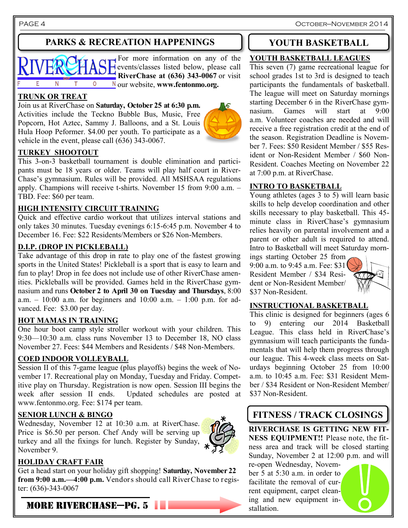PAGE 4 OCTOBER—NOVEMBER 2014

# **PARKS & RECREATION HAPPENINGS**

For more information on any of the  $\overrightarrow{AB}$  Events/classes listed below, please call **RiverChase at (636) 343-0067** or visit E N  $T$  $\circ$ our website, **www.fentonmo.org.**

#### **TRUNK OR TREAT**

Join us at RiverChase on **Saturday, October 25 at 6:30 p.m.**  Activities include the Teckno Bubble Bus, Music, Free Popcorn, Hot Aztec, Sammy J. Balloons, and a St. Louis Hula Hoop Peformer. \$4.00 per youth. To participate as a vehicle in the event, please call (636) 343-0067.



This 3-on-3 basketball tournament is double elimination and participants must be 18 years or older. Teams will play half court in River-Chase's gymnasium. Rules will be provided. All MSHSAA regulations apply. Champions will receive t-shirts. November 15 from 9:00 a.m. – TBD. Fee: \$60 per team.

#### **HIGH INTENSITY CIRCUIT TRAINING**

Quick and effective cardio workout that utilizes interval stations and only takes 30 minutes. Tuesday evenings 6:15-6:45 p.m. November 4 to December 16. Fee: \$22 Residents/Members or \$26 Non-Members.

#### **D.I.P. (DROP IN PICKLEBALL)**

Take advantage of this drop in rate to play one of the fastest growing sports in the United States! Pickleball is a sport that is easy to learn and fun to play! Drop in fee does not include use of other RiverChase amenities. Pickleballs will be provided. Games held in the RiverChase gymnasium and runs **October 2 to April 30 on Tuesday and Thursdays**, 8:00 a.m.  $-10:00$  a.m. for beginners and  $10:00$  a.m.  $-1:00$  p.m. for advanced. Fee: \$3.00 per day.

#### **HOT MAMAS IN TRAINING**

One hour boot camp style stroller workout with your children. This 9:30—10:30 a.m. class runs November 13 to December 18, NO class November 27. Fees: \$44 Members and Residents / \$48 Non-Members.

#### **COED INDOOR VOLLEYBALL**

Session II of this 7-game league (plus playoffs) begins the week of November 17. Recreational play on Monday, Tuesday and Friday. Competitive play on Thursday. Registration is now open. Session III begins the week after session II ends. Updated schedules are posted at www.fentonmo.org. Fee: \$174 per team.

#### **SENIOR LUNCH & BINGO**

Wednesday, November 12 at 10:30 a.m. at RiverChase. Price is \$6.50 per person. Chef Andy will be serving up turkey and all the fixings for lunch. Register by Sunday, November 9.



### **HOLIDAY CRAFT FAIR**

Get a head start on your holiday gift shopping! **Saturday, November 22 from 9:00 a.m.—4:00 p.m.** Vendors should call RiverChase to register: (636)-343-0067

#### MORE RIVERCHASE—PG. 5



#### **YOUTH BASKETBALL LEAGUES**

This seven (7) game recreational league for school grades 1st to 3rd is designed to teach participants the fundamentals of basketball. The league will meet on Saturday mornings starting December 6 in the RiverChase gymnasium. Games will start at 9:00 a.m. Volunteer coaches are needed and will receive a free registration credit at the end of the season. Registration Deadline is November 7. Fees: \$50 Resident Member / \$55 Resident or Non-Resident Member / \$60 Non-Resident. Coaches Meeting on November 22 at 7:00 p.m. at RiverChase.

#### **INTRO TO BASKETBALL**

Young athletes (ages 3 to 5) will learn basic skills to help develop coordination and other skills necessary to play basketball. This 45 minute class in RiverChase's gymnasium relies heavily on parental involvement and a parent or other adult is required to attend. Intro to Basketball will meet Saturday morn-

ings starting October 25 from 9:00 a.m. to 9:45 a.m. Fee: \$31 Resident Member / \$34 Resident or Non-Resident Member/ \$37 Non-Resident.



#### **INSTRUCTIONAL BASKETBALL**

This clinic is designed for beginners (ages 6 to 9) entering our 2014 Basketball League. This class held in RiverChase's gymnasium will teach participants the fundamentals that will help them progress through our league. This 4-week class meets on Saturdays beginning October 25 from 10:00 a.m. to 10:45 a.m. Fee: \$31 Resident Member / \$34 Resident or Non-Resident Member/ \$37 Non-Resident.

# **FITNESS / TRACK CLOSINGS**

**RIVERCHASE IS GETTING NEW FIT-NESS EQUIPMENT!!** Please note, the fitness area and track will be closed starting Sunday, November 2 at 12:00 p.m. and will

re-open Wednesday, November 5 at 5:30 a.m. in order to facilitate the removal of current equipment, carpet cleaning and new equipment installation.

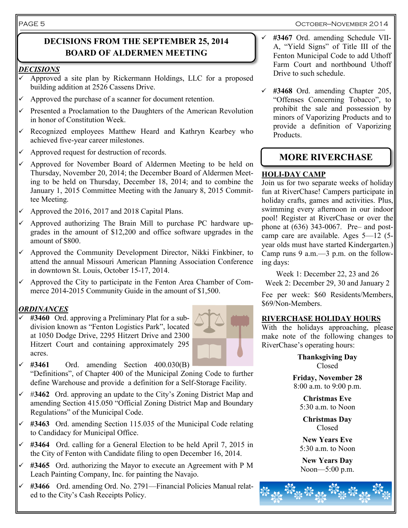#### October—November 2014

# **DECISIONS FROM THE SEPTEMBER 25, 2014 BOARD OF ALDERMEN MEETING**

#### *DECISIONS*

- Approved a site plan by Rickermann Holdings, LLC for a proposed building addition at 2526 Cassens Drive.
- Approved the purchase of a scanner for document retention.
- $\checkmark$  Presented a Proclamation to the Daughters of the American Revolution in honor of Constitution Week.
- Recognized employees Matthew Heard and Kathryn Kearbey who achieved five-year career milestones.
- $\checkmark$  Approved request for destruction of records.
- Approved for November Board of Aldermen Meeting to be held on Thursday, November 20, 2014; the December Board of Aldermen Meeting to be held on Thursday, December 18, 2014; and to combine the January 1, 2015 Committee Meeting with the January 8, 2015 Committee Meeting.
- Approved the 2016, 2017 and 2018 Capital Plans.
- $\checkmark$  Approved authorizing The Brain Mill to purchase PC hardware upgrades in the amount of \$12,200 and office software upgrades in the amount of \$800.
- $\checkmark$  Approved the Community Development Director, Nikki Finkbiner, to attend the annual Missouri American Planning Association Conference in downtown St. Louis, October 15-17, 2014.
- Approved the City to participate in the Fenton Area Chamber of Commerce 2014-2015 Community Guide in the amount of \$1,500.

#### *ORDINANCES*

 **#3460** Ord. approving a Preliminary Plat for a subdivision known as "Fenton Logistics Park", located at 1050 Dodge Drive, 2295 Hitzert Drive and 2300 Hitzert Court and containing approximately 295 acres.



- $\checkmark$  #3461 Ord. amending Section 400.030(B) "Definitions", of Chapter 400 of the Municipal Zoning Code to further define Warehouse and provide a definition for a Self-Storage Facility.
- #**3462** Ord. approving an update to the City's Zoning District Map and amending Section 415.050 "Official Zoning District Map and Boundary Regulations" of the Municipal Code.
- **#3463** Ord. amending Section 115.035 of the Municipal Code relating to Candidacy for Municipal Office.
- **#3464** Ord. calling for a General Election to be held April 7, 2015 in the City of Fenton with Candidate filing to open December 16, 2014.
- **#3465** Ord. authorizing the Mayor to execute an Agreement with P M Leach Painting Company, Inc. for painting the Navajo.
- **#3466** Ord. amending Ord. No. 2791—Financial Policies Manual related to the City's Cash Receipts Policy.
- **#3467** Ord. amending Schedule VII-A, "Yield Signs" of Title III of the Fenton Municipal Code to add Uthoff Farm Court and northbound Uthoff Drive to such schedule.
- **#3468** Ord. amending Chapter 205, "Offenses Concerning Tobacco", to prohibit the sale and possession by minors of Vaporizing Products and to provide a definition of Vaporizing Products.

# **MORE RIVERCHASE**

## **HOLI-DAY CAMP**

Join us for two separate weeks of holiday fun at RiverChase! Campers participate in holiday crafts, games and activities. Plus, swimming every afternoon in our indoor pool! Register at RiverChase or over the phone at (636) 343-0067. Pre– and postcamp care are available. Ages 5—12 (5 year olds must have started Kindergarten.) Camp runs 9 a.m.—3 p.m. on the following days:

Week 1: December 22, 23 and 26 Week 2: December 29, 30 and January 2

Fee per week: \$60 Residents/Members, \$69/Non-Members.

#### **RIVERCHASE HOLIDAY HOURS**

With the holidays approaching, please make note of the following changes to RiverChase's operating hours:

> **Thanksgiving Day** Closed

**Friday, November 28** 8:00 a.m. to 9:00 p.m.

> **Christmas Eve**  $5:30$  a.m. to Noon

**Christmas Day** Closed

**New Years Eve** 5:30 a.m. to Noon

**New Years Day** Noon—5:00 p.m.